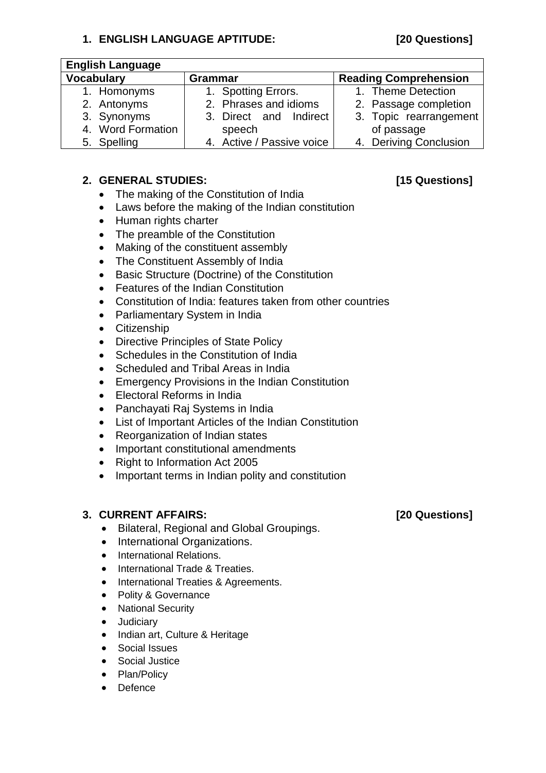## **1. ENGLISH LANGUAGE APTITUDE: [20 Questions]**

| <b>English Language</b> |                           |                              |
|-------------------------|---------------------------|------------------------------|
| <b>Vocabulary</b>       | <b>Grammar</b>            | <b>Reading Comprehension</b> |
| 1. Homonyms             | 1. Spotting Errors.       | 1. Theme Detection           |
| 2. Antonyms             | 2. Phrases and idioms     | 2. Passage completion        |
| 3. Synonyms             | 3. Direct and Indirect    | 3. Topic rearrangement       |
| 4. Word Formation       | speech                    | of passage                   |
| 5. Spelling             | 4. Active / Passive voice | 4. Deriving Conclusion       |

### **2. GENERAL STUDIES: [15 Questions]**

- The making of the Constitution of India
- Laws before the making of the Indian constitution
- Human rights charter
- The preamble of the Constitution
- Making of the constituent assembly
- The Constituent Assembly of India
- Basic Structure (Doctrine) of the Constitution
- Features of the Indian Constitution
- Constitution of India: features taken from other countries
- Parliamentary System in India
- **•** Citizenship
- Directive Principles of State Policy
- Schedules in the Constitution of India
- Scheduled and Tribal Areas in India
- Emergency Provisions in the Indian Constitution
- Electoral Reforms in India
- Panchayati Raj Systems in India
- List of Important Articles of the Indian Constitution
- Reorganization of Indian states
- Important constitutional amendments
- Right to Information Act 2005
- Important terms in Indian polity and constitution

# **3. CURRENT AFFAIRS: [20 Questions]**

- Bilateral, Regional and Global Groupings.
- International Organizations.
- International Relations.
- International Trade & Treaties.
- International Treaties & Agreements.
- Polity & Governance
- National Security
- **•** Judiciary
- Indian art, Culture & Heritage
- Social Issues
- Social Justice
- Plan/Policy
- Defence